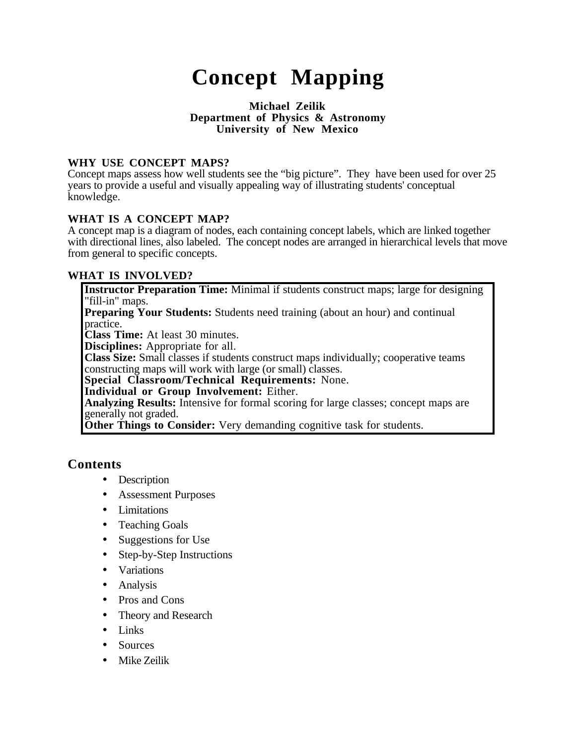# **Concept Mapping**

#### **Michael Zeilik Department of Physics & Astronomy University of New Mexico**

## **WHY USE CONCEPT MAPS?**

Concept maps assess how well students see the "big picture". They have been used for over 25 years to provide a useful and visually appealing way of illustrating students' conceptual knowledge.

#### **WHAT IS A CONCEPT MAP?**

A concept map is a diagram of nodes, each containing concept labels, which are linked together with directional lines, also labeled. The concept nodes are arranged in hierarchical levels that move from general to specific concepts.

## **WHAT IS INVOLVED?**

**Instructor Preparation Time:** Minimal if students construct maps; large for designing "fill-in" maps. **Preparing Your Students:** Students need training (about an hour) and continual practice. **Class Time:** At least 30 minutes. **Disciplines:** Appropriate for all. **Class Size:** Small classes if students construct maps individually; cooperative teams constructing maps will work with large (or small) classes. **Special Classroom/Technical Requirements:** None. **Individual or Group Involvement:** Either. **Analyzing Results:** Intensive for formal scoring for large classes; concept maps are generally not graded. **Other Things to Consider:** Very demanding cognitive task for students.

## **Contents**

- Description
- Assessment Purposes
- Limitations
- Teaching Goals
- Suggestions for Use
- Step-by-Step Instructions
- Variations
- Analysis
- Pros and Cons
- Theory and Research
- Links
- Sources
- Mike Zeilik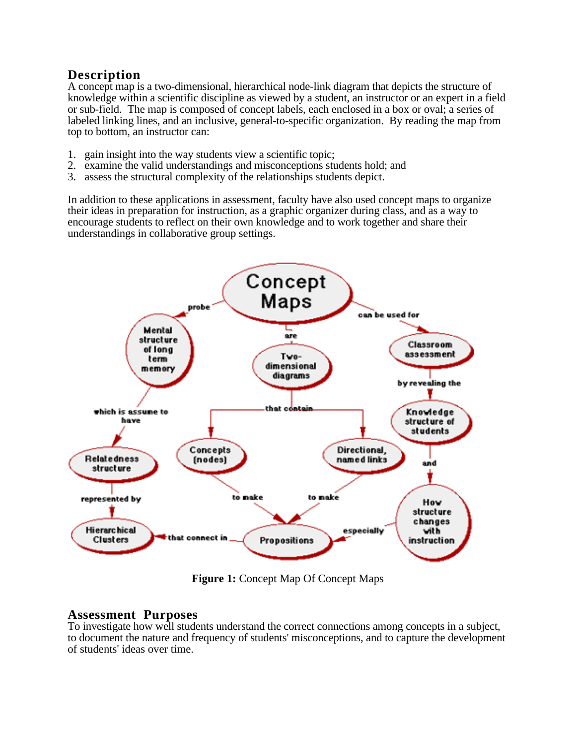# **Description**

A concept map is a two-dimensional, hierarchical node-link diagram that depicts the structure of knowledge within a scientific discipline as viewed by a student, an instructor or an expert in a field or sub-field. The map is composed of concept labels, each enclosed in a box or oval; a series of labeled linking lines, and an inclusive, general-to-specific organization. By reading the map from top to bottom, an instructor can:

- 1. gain insight into the way students view a scientific topic;
- 2. examine the valid understandings and misconceptions students hold; and
- 3. assess the structural complexity of the relationships students depict.

In addition to these applications in assessment, faculty have also used concept maps to organize their ideas in preparation for instruction, as a graphic organizer during class, and as a way to encourage students to reflect on their own knowledge and to work together and share their understandings in collaborative group settings.



**Figure 1:** Concept Map Of Concept Maps

## **Assessment Purposes**

To investigate how well students understand the correct connections among concepts in a subject, to document the nature and frequency of students' misconceptions, and to capture the development of students' ideas over time.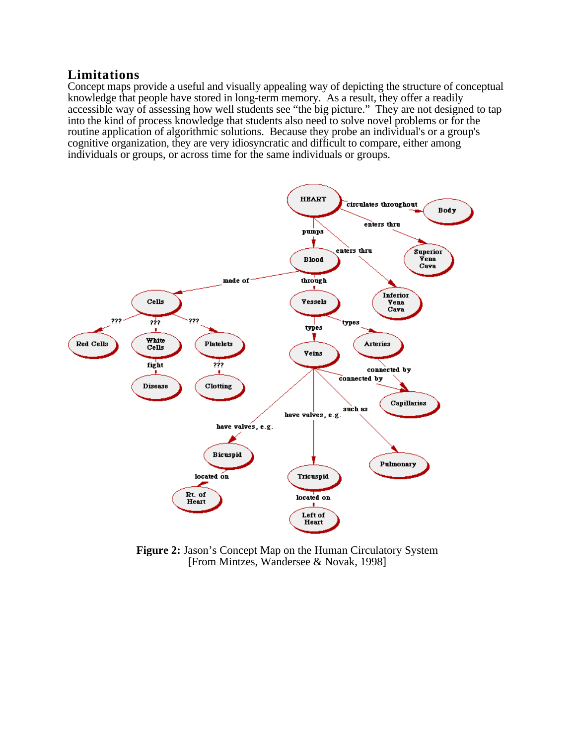## **Limitations**

Concept maps provide a useful and visually appealing way of depicting the structure of conceptual knowledge that people have stored in long-term memory. As a result, they offer a readily accessible way of assessing how well students see "the big picture." They are not designed to tap into the kind of process knowledge that students also need to solve novel problems or for the routine application of algorithmic solutions. Because they probe an individual's or a group's cognitive organization, they are very idiosyncratic and difficult to compare, either among individuals or groups, or across time for the same individuals or groups.



**Figure 2:** Jason's Concept Map on the Human Circulatory System [From Mintzes, Wandersee & Novak, 1998]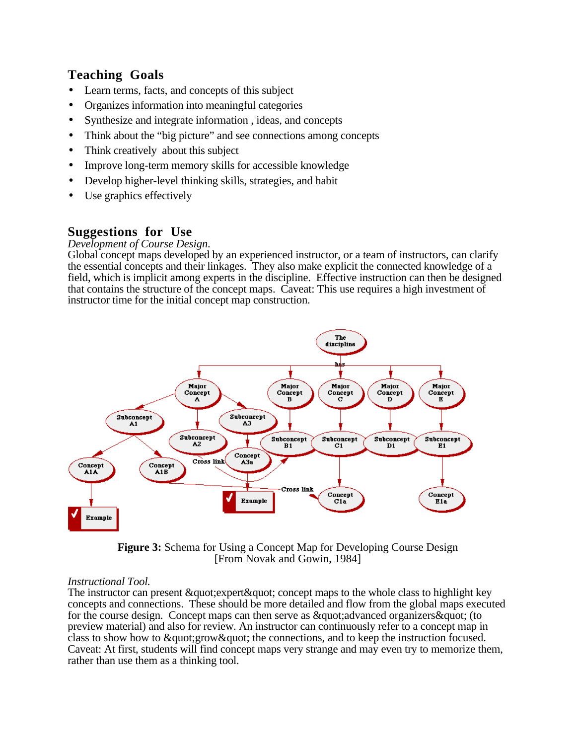# **Teaching Goals**

- Learn terms, facts, and concepts of this subject
- Organizes information into meaningful categories
- Synthesize and integrate information , ideas, and concepts
- Think about the "big picture" and see connections among concepts
- Think creatively about this subject
- Improve long-term memory skills for accessible knowledge
- Develop higher-level thinking skills, strategies, and habit
- Use graphics effectively

# **Suggestions for Use**

## *Development of Course Design.*

Global concept maps developed by an experienced instructor, or a team of instructors, can clarify the essential concepts and their linkages. They also make explicit the connected knowledge of a field, which is implicit among experts in the discipline. Effective instruction can then be designed that contains the structure of the concept maps. Caveat: This use requires a high investment of instructor time for the initial concept map construction.



**Figure 3:** Schema for Using a Concept Map for Developing Course Design [From Novak and Gowin, 1984]

## *Instructional Tool.*

The instructor can present  $\&$  quot; expert $\&$  quot; concept maps to the whole class to highlight key concepts and connections. These should be more detailed and flow from the global maps executed for the course design. Concept maps can then serve as  $\&$  quot; advanced organizers  $\&$  quot; (to preview material) and also for review. An instructor can continuously refer to a concept map in class to show how to  $\&$ quot: grow $\&$ quot: the connections, and to keep the instruction focused. Caveat: At first, students will find concept maps very strange and may even try to memorize them, rather than use them as a thinking tool.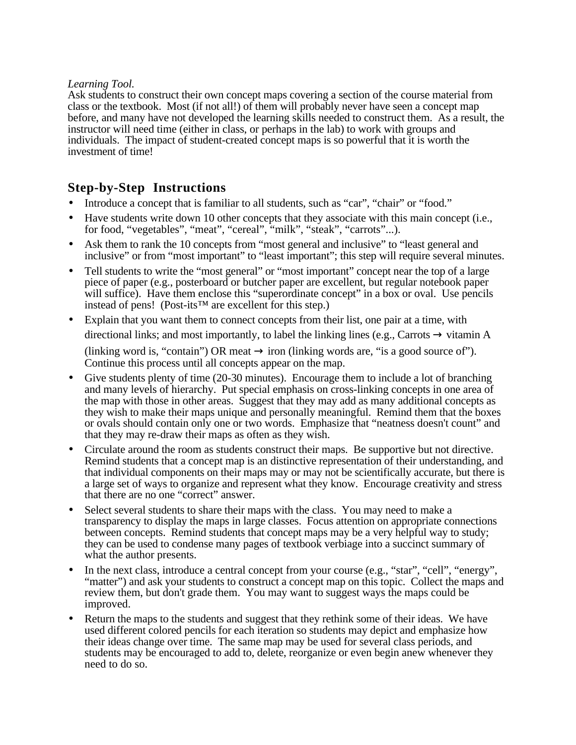#### *Learning Tool.*

Ask students to construct their own concept maps covering a section of the course material from class or the textbook. Most (if not all!) of them will probably never have seen a concept map before, and many have not developed the learning skills needed to construct them. As a result, the instructor will need time (either in class, or perhaps in the lab) to work with groups and individuals. The impact of student-created concept maps is so powerful that it is worth the investment of time!

# **Step-by-Step Instructions**

- Introduce a concept that is familiar to all students, such as "car", "chair" or "food."
- Have students write down 10 other concepts that they associate with this main concept (i.e., for food, "vegetables", "meat", "cereal", "milk", "steak", "carrots"...).
- Ask them to rank the 10 concepts from "most general and inclusive" to "least general and inclusive" or from "most important" to "least important"; this step will require several minutes.
- Tell students to write the "most general" or "most important" concept near the top of a large piece of paper (e.g., posterboard or butcher paper are excellent, but regular notebook paper will suffice). Have them enclose this "superordinate concept" in a box or oval. Use pencils instead of pens! (Post-its<sup>™</sup> are excellent for this step.)
- Explain that you want them to connect concepts from their list, one pair at a time, with directional links; and most importantly, to label the linking lines (e.g., Carrots  $\rightarrow$  vitamin A (linking word is, "contain") OR meat  $\rightarrow$  iron (linking words are, "is a good source of"). Continue this process until all concepts appear on the map.
- Give students plenty of time (20-30 minutes). Encourage them to include a lot of branching and many levels of hierarchy. Put special emphasis on cross-linking concepts in one area of the map with those in other areas. Suggest that they may add as many additional concepts as they wish to make their maps unique and personally meaningful. Remind them that the boxes or ovals should contain only one or two words. Emphasize that "neatness doesn't count" and that they may re-draw their maps as often as they wish.
- Circulate around the room as students construct their maps. Be supportive but not directive. Remind students that a concept map is an distinctive representation of their understanding, and that individual components on their maps may or may not be scientifically accurate, but there is a large set of ways to organize and represent what they know. Encourage creativity and stress that there are no one "correct" answer.
- Select several students to share their maps with the class. You may need to make a transparency to display the maps in large classes. Focus attention on appropriate connections between concepts. Remind students that concept maps may be a very helpful way to study; they can be used to condense many pages of textbook verbiage into a succinct summary of what the author presents.
- In the next class, introduce a central concept from your course (e.g., "star", "cell", "energy", "matter") and ask your students to construct a concept map on this topic. Collect the maps and review them, but don't grade them. You may want to suggest ways the maps could be improved.
- Return the maps to the students and suggest that they rethink some of their ideas. We have used different colored pencils for each iteration so students may depict and emphasize how their ideas change over time. The same map may be used for several class periods, and students may be encouraged to add to, delete, reorganize or even begin anew whenever they need to do so.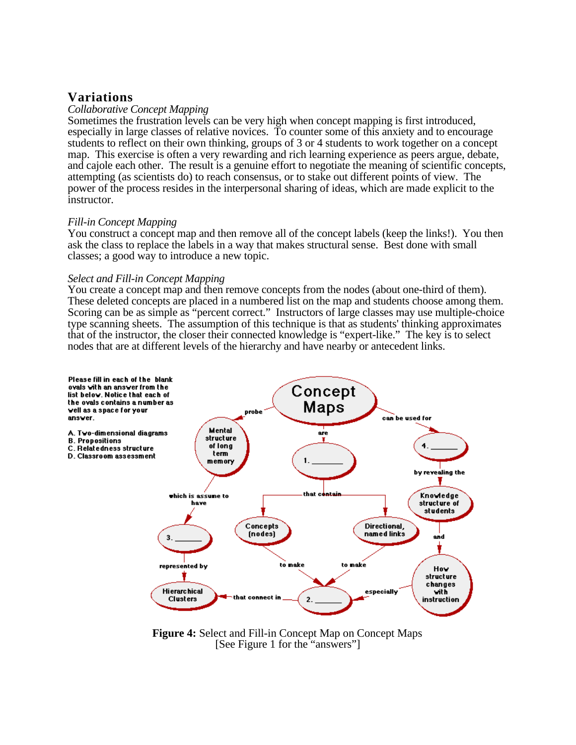## **Variations**

#### *Collaborative Concept Mapping*

Sometimes the frustration levels can be very high when concept mapping is first introduced, especially in large classes of relative novices. To counter some of this anxiety and to encourage students to reflect on their own thinking, groups of 3 or 4 students to work together on a concept map. This exercise is often a very rewarding and rich learning experience as peers argue, debate, and cajole each other. The result is a genuine effort to negotiate the meaning of scientific concepts, attempting (as scientists do) to reach consensus, or to stake out different points of view. The power of the process resides in the interpersonal sharing of ideas, which are made explicit to the instructor.

#### *Fill-in Concept Mapping*

You construct a concept map and then remove all of the concept labels (keep the links!). You then ask the class to replace the labels in a way that makes structural sense. Best done with small classes; a good way to introduce a new topic.

#### *Select and Fill-in Concept Mapping*

You create a concept map and then remove concepts from the nodes (about one-third of them). These deleted concepts are placed in a numbered list on the map and students choose among them. Scoring can be as simple as "percent correct." Instructors of large classes may use multiple-choice type scanning sheets. The assumption of this technique is that as students' thinking approximates that of the instructor, the closer their connected knowledge is "expert-like." The key is to select nodes that are at different levels of the hierarchy and have nearby or antecedent links.



**Figure 4:** Select and Fill-in Concept Map on Concept Maps [See Figure 1 for the "answers"]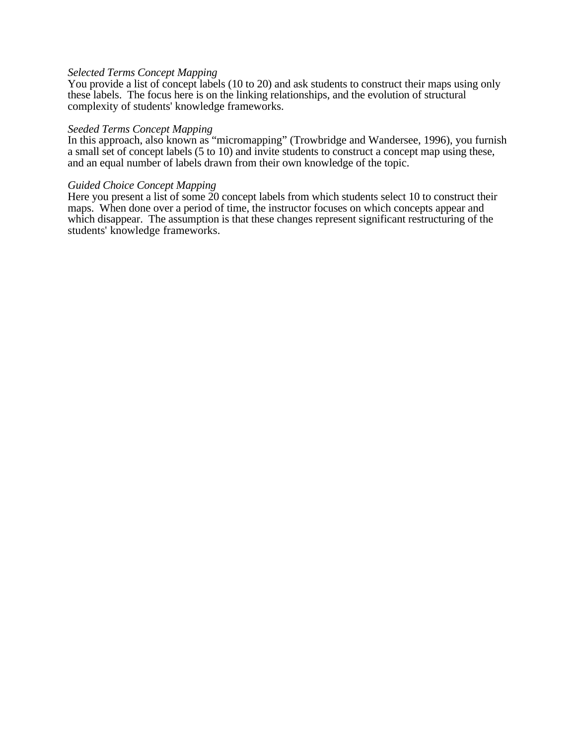#### *Selected Terms Concept Mapping*

You provide a list of concept labels (10 to 20) and ask students to construct their maps using only these labels. The focus here is on the linking relationships, and the evolution of structural complexity of students' knowledge frameworks.

#### *Seeded Terms Concept Mapping*

In this approach, also known as "micromapping" (Trowbridge and Wandersee, 1996), you furnish a small set of concept labels (5 to 10) and invite students to construct a concept map using these, and an equal number of labels drawn from their own knowledge of the topic.

#### *Guided Choice Concept Mapping*

Here you present a list of some 20 concept labels from which students select 10 to construct their maps. When done over a period of time, the instructor focuses on which concepts appear and which disappear. The assumption is that these changes represent significant restructuring of the students' knowledge frameworks.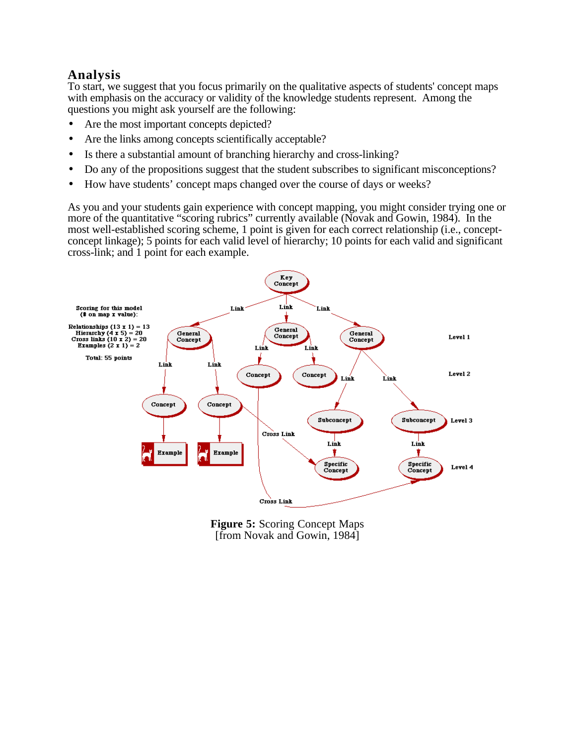# **Analysis**

To start, we suggest that you focus primarily on the qualitative aspects of students' concept maps with emphasis on the accuracy or validity of the knowledge students represent. Among the questions you might ask yourself are the following:

- Are the most important concepts depicted?
- Are the links among concepts scientifically acceptable?
- Is there a substantial amount of branching hierarchy and cross-linking?
- Do any of the propositions suggest that the student subscribes to significant misconceptions?
- How have students' concept maps changed over the course of days or weeks?

As you and your students gain experience with concept mapping, you might consider trying one or more of the quantitative "scoring rubrics" currently available (Novak and Gowin, 1984). In the most well-established scoring scheme, 1 point is given for each correct relationship (i.e., conceptconcept linkage); 5 points for each valid level of hierarchy; 10 points for each valid and significant cross-link; and 1 point for each example.



**Figure 5:** Scoring Concept Maps [from Novak and Gowin, 1984]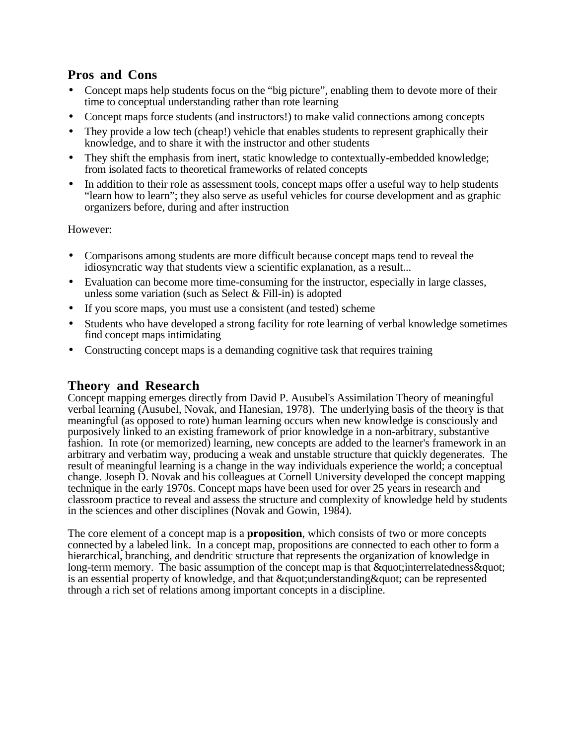## **Pros and Cons**

- Concept maps help students focus on the "big picture", enabling them to devote more of their time to conceptual understanding rather than rote learning
- Concept maps force students (and instructors!) to make valid connections among concepts
- They provide a low tech (cheap!) vehicle that enables students to represent graphically their knowledge, and to share it with the instructor and other students
- They shift the emphasis from inert, static knowledge to contextually-embedded knowledge; from isolated facts to theoretical frameworks of related concepts
- In addition to their role as assessment tools, concept maps offer a useful way to help students "learn how to learn"; they also serve as useful vehicles for course development and as graphic organizers before, during and after instruction

However:

- Comparisons among students are more difficult because concept maps tend to reveal the idiosyncratic way that students view a scientific explanation, as a result...
- Evaluation can become more time-consuming for the instructor, especially in large classes, unless some variation (such as Select & Fill-in) is adopted
- If you score maps, you must use a consistent (and tested) scheme
- Students who have developed a strong facility for rote learning of verbal knowledge sometimes find concept maps intimidating
- Constructing concept maps is a demanding cognitive task that requires training

## **Theory and Research**

Concept mapping emerges directly from David P. Ausubel's Assimilation Theory of meaningful verbal learning (Ausubel, Novak, and Hanesian, 1978). The underlying basis of the theory is that meaningful (as opposed to rote) human learning occurs when new knowledge is consciously and purposively linked to an existing framework of prior knowledge in a non-arbitrary, substantive fashion. In rote (or memorized) learning, new concepts are added to the learner's framework in an arbitrary and verbatim way, producing a weak and unstable structure that quickly degenerates. The result of meaningful learning is a change in the way individuals experience the world; a conceptual change. Joseph D. Novak and his colleagues at Cornell University developed the concept mapping technique in the early 1970s. Concept maps have been used for over 25 years in research and classroom practice to reveal and assess the structure and complexity of knowledge held by students in the sciences and other disciplines (Novak and Gowin, 1984).

The core element of a concept map is a **proposition**, which consists of two or more concepts connected by a labeled link. In a concept map, propositions are connected to each other to form a hierarchical, branching, and dendritic structure that represents the organization of knowledge in long-term memory. The basic assumption of the concept map is that  $\&$  quot; interrelatedness  $\&$  quot; is an essential property of knowledge, and that  $\&$  quot; understanding  $&$  quot; can be represented through a rich set of relations among important concepts in a discipline.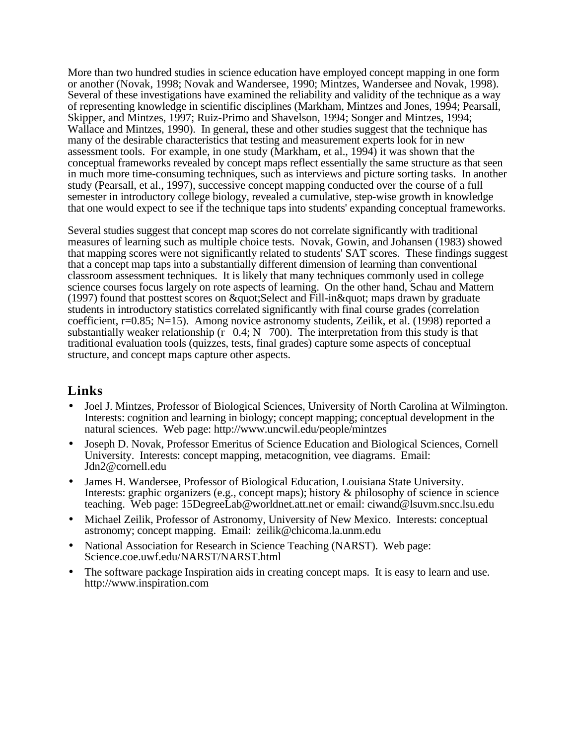More than two hundred studies in science education have employed concept mapping in one form or another (Novak, 1998; Novak and Wandersee, 1990; Mintzes, Wandersee and Novak, 1998). Several of these investigations have examined the reliability and validity of the technique as a way of representing knowledge in scientific disciplines (Markham, Mintzes and Jones, 1994; Pearsall, Skipper, and Mintzes, 1997; Ruiz-Primo and Shavelson, 1994; Songer and Mintzes, 1994; Wallace and Mintzes, 1990). In general, these and other studies suggest that the technique has many of the desirable characteristics that testing and measurement experts look for in new assessment tools. For example, in one study (Markham, et al., 1994) it was shown that the conceptual frameworks revealed by concept maps reflect essentially the same structure as that seen in much more time-consuming techniques, such as interviews and picture sorting tasks. In another study (Pearsall, et al., 1997), successive concept mapping conducted over the course of a full semester in introductory college biology, revealed a cumulative, step-wise growth in knowledge that one would expect to see if the technique taps into students' expanding conceptual frameworks.

Several studies suggest that concept map scores do not correlate significantly with traditional measures of learning such as multiple choice tests. Novak, Gowin, and Johansen (1983) showed that mapping scores were not significantly related to students' SAT scores. These findings suggest that a concept map taps into a substantially different dimension of learning than conventional classroom assessment techniques. It is likely that many techniques commonly used in college science courses focus largely on rote aspects of learning. On the other hand, Schau and Mattern (1997) found that posttest scores on  $\&$ quot; Select and Fill-in $\&$ quot; maps drawn by graduate students in introductory statistics correlated significantly with final course grades (correlation coefficient, r=0.85; N=15). Among novice astronomy students, Zeilik, et al. (1998) reported a substantially weaker relationship ( $\overline{r}$  0.4; N 700). The interpretation from this study is that traditional evaluation tools (quizzes, tests, final grades) capture some aspects of conceptual structure, and concept maps capture other aspects.

## **Links**

- Joel J. Mintzes, Professor of Biological Sciences, University of North Carolina at Wilmington. Interests: cognition and learning in biology; concept mapping; conceptual development in the natural sciences. Web page: http://www.uncwil.edu/people/mintzes
- Joseph D. Novak, Professor Emeritus of Science Education and Biological Sciences, Cornell University. Interests: concept mapping, metacognition, vee diagrams. Email: Jdn2@cornell.edu
- James H. Wandersee, Professor of Biological Education, Louisiana State University. Interests: graphic organizers (e.g., concept maps); history  $\&$  philosophy of science in science teaching. Web page: 15DegreeLab@worldnet.att.net or email: ciwand@lsuvm.sncc.lsu.edu
- Michael Zeilik, Professor of Astronomy, University of New Mexico. Interests: conceptual astronomy; concept mapping. Email: zeilik@chicoma.la.unm.edu
- National Association for Research in Science Teaching (NARST). Web page: Science.coe.uwf.edu/NARST/NARST.html
- The software package Inspiration aids in creating concept maps. It is easy to learn and use. http://www.inspiration.com